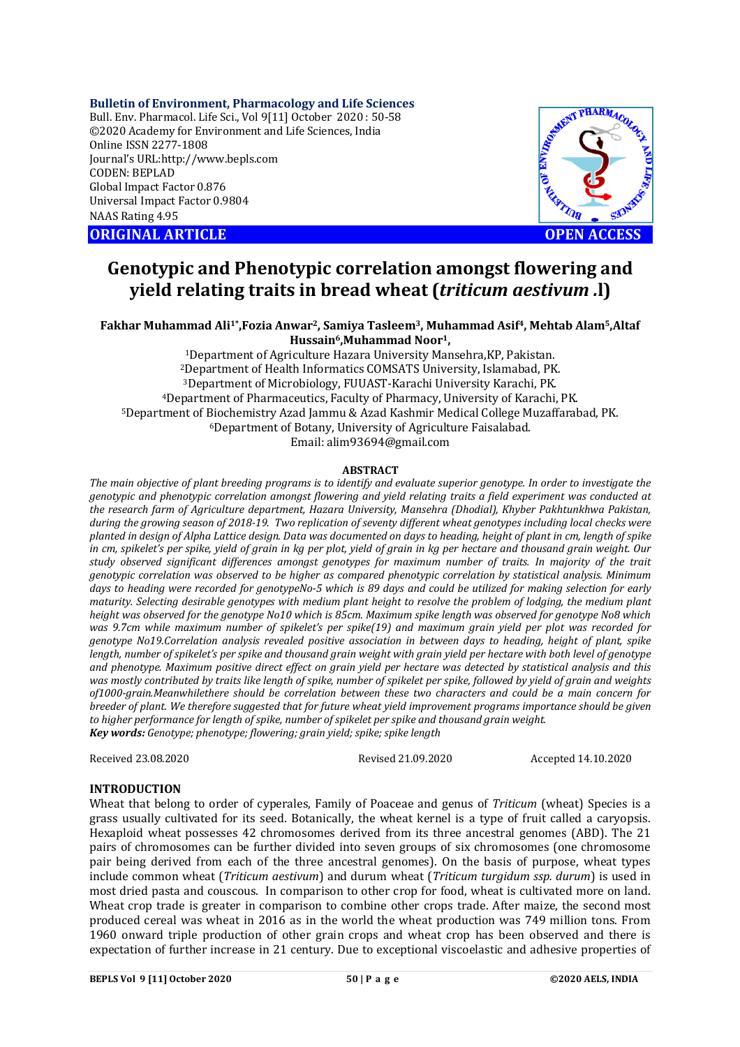#### **Bulletin of Environment, Pharmacology and Life Sciences**

Bull. Env. Pharmacol. Life Sci., Vol 9[11] October 2020 : 50-58 ©2020 Academy for Environment and Life Sciences, India Online ISSN 2277-1808 Journal's URL:<http://www.bepls.com> CODEN: BEPLAD Global Impact Factor 0.876 Universal Impact Factor 0.9804 NAAS Rating 4.95

**ORIGINAL ARTICLE OPEN ACCESS**



# **Genotypic and Phenotypic correlation amongst flowering and yield relating traits in bread wheat (***triticum aestivum .***l)**

**Fakhar Muhammad Ali1\* ,Fozia Anwar2, Samiya Tasleem3, Muhammad Asif4, Mehtab Alam5,Altaf Hussain6,Muhammad Noor1,**

Department of Agriculture Hazara University Mansehra,KP, Pakistan. Department of Health Informatics COMSATS University, Islamabad, PK. Department of Microbiology, FUUAST-Karachi University Karachi, PK. Department of Pharmaceutics, Faculty of Pharmacy, University of Karachi, PK. Department of Biochemistry Azad Jammu & Azad Kashmir Medical College Muzaffarabad, PK. Department of Botany, University of Agriculture Faisalabad. Email: [alim93694@gmail.com](mailto:alim93694@gmail.com)

# **ABSTRACT**

*The main objective of plant breeding programs is to identify and evaluate superior genotype. In order to investigate the genotypic and phenotypic correlation amongst flowering and yield relating traits a field experiment was conducted at the research farm of Agriculture department, Hazara University, Mansehra (Dhodial), Khyber Pakhtunkhwa Pakistan, during the growing season of 2018-19. Two replication of seventy different wheat genotypes including local checks were planted in design of Alpha Lattice design. Data was documented on days to heading, height of plant in cm, length of spike in cm, spikelet's per spike, yield of grain in kg per plot, yield of grain in kg per hectare and thousand grain weight. Our study observed significant differences amongst genotypes for maximum number of traits. In majority of the trait genotypic correlation was observed to be higher as compared phenotypic correlation by statistical analysis. Minimum days to heading were recorded for genotypeNo-5 which is 89 days and could be utilized for making selection for early maturity. Selecting desirable genotypes with medium plant height to resolve the problem of lodging, the medium plant height was observed for the genotype No10 which is 85cm. Maximum spike length was observed for genotype No8 which was 9.7cm while maximum number of spikelet's per spike(19) and maximum grain yield per plot was recorded for genotype No19.Correlation analysis revealed positive association in between days to heading, height of plant, spike length, number of spikelet's per spike and thousand grain weight with grain yield per hectare with both level of genotype and phenotype. Maximum positive direct effect on grain yield per hectare was detected by statistical analysis and this was mostly contributed by traits like length of spike, number of spikelet per spike, followed by yield of grain and weights of1000-grain.Meanwhilethere should be correlation between these two characters and could be a main concern for breeder of plant. We therefore suggested that for future wheat yield improvement programs importance should be given to higher performance for length of spike, number of spikelet per spike and thousand grain weight. Key words: Genotype; phenotype; flowering; grain yield; spike; spike length*

Received 23.08.2020 Revised 21.09.2020 Accepted 14.10.2020

# **INTRODUCTION**

Wheat that belong to order of cyperales, Family of Poaceae and genus of *Triticum* (wheat) Species is a grass usually cultivated for its seed. Botanically, the wheat kernel is a type of fruit called a caryopsis. Hexaploid wheat possesses 42 chromosomes derived from its three ancestral genomes (ABD). The 21 pairs of chromosomes can be further divided into seven groups of six chromosomes (one chromosome pair being derived from each of the three ancestral genomes). On the basis of purpose, wheat types include common wheat (*Triticum aestivum*) and durum wheat (*Triticum turgidum ssp. durum*) is used in most dried pasta and couscous. In comparison to other crop for food, wheat is cultivated more on land. Wheat crop trade is greater in comparison to combine other crops trade. After maize, the second most produced cereal was wheat in 2016 as in the world the wheat production was 749 million tons. From 1960 onward triple production of other grain crops and wheat crop has been observed and there is expectation of further increase in 21 century. Due to exceptional viscoelastic and adhesive properties of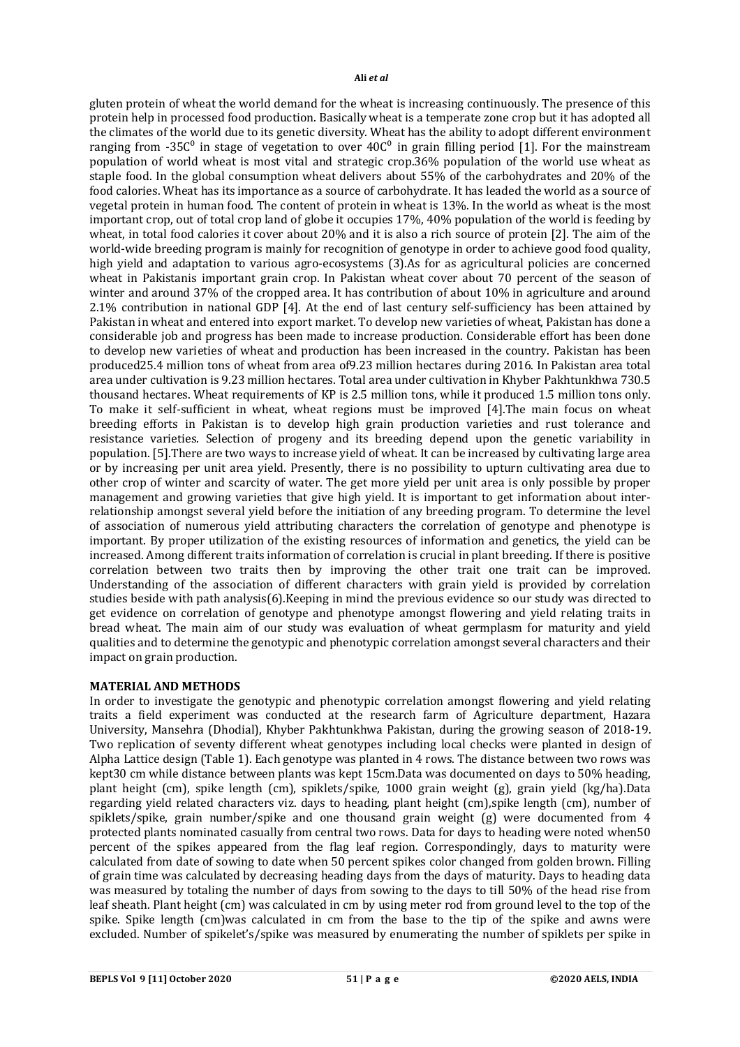gluten protein of wheat the world demand for the wheat is increasing continuously. The presence of this protein help in processed food production. Basically wheat is a temperate zone crop but it has adopted all the climates of the world due to its genetic diversity. Wheat has the ability to adopt different environment ranging from -35 $C^0$  in stage of vegetation to over  $40C^0$  in grain filling period [1]. For the mainstream population of world wheat is most vital and strategic crop.36% population of the world use wheat as staple food. In the global consumption wheat delivers about 55% of the carbohydrates and 20% of the food calories. Wheat has its importance as a source of carbohydrate. It has leaded the world as a source of vegetal protein in human food. The content of protein in wheat is 13%. In the world as wheat is the most important crop, out of total crop land of globe it occupies 17%, 40% population of the world is feeding by wheat, in total food calories it cover about 20% and it is also a rich source of protein [2]. The aim of the world-wide breeding program is mainly for recognition of genotype in order to achieve good food quality, high yield and adaptation to various agro-ecosystems (3).As for as agricultural policies are concerned wheat in Pakistanis important grain crop. In Pakistan wheat cover about 70 percent of the season of winter and around 37% of the cropped area. It has contribution of about 10% in agriculture and around 2.1% contribution in national GDP [4]. At the end of last century self-sufficiency has been attained by Pakistan in wheat and entered into export market. To develop new varieties of wheat, Pakistan has done a considerable job and progress has been made to increase production. Considerable effort has been done to develop new varieties of wheat and production has been increased in the country. Pakistan has been produced25.4 million tons of wheat from area of9.23 million hectares during 2016. In Pakistan area total area under cultivation is 9.23 million hectares. Total area under cultivation in Khyber Pakhtunkhwa 730.5 thousand hectares. Wheat requirements of KP is 2.5 million tons, while it produced 1.5 million tons only. To make it self-sufficient in wheat, wheat regions must be improved [4].The main focus on wheat breeding efforts in Pakistan is to develop high grain production varieties and rust tolerance and resistance varieties. Selection of progeny and its breeding depend upon the genetic variability in population. [5].There are two ways to increase yield of wheat. It can be increased by cultivating large area or by increasing per unit area yield. Presently, there is no possibility to upturn cultivating area due to other crop of winter and scarcity of water. The get more yield per unit area is only possible by proper management and growing varieties that give high yield. It is important to get information about interrelationship amongst several yield before the initiation of any breeding program. To determine the level of association of numerous yield attributing characters the correlation of genotype and phenotype is important. By proper utilization of the existing resources of information and genetics, the yield can be increased. Among different traits information of correlation is crucial in plant breeding. If there is positive correlation between two traits then by improving the other trait one trait can be improved. Understanding of the association of different characters with grain yield is provided by correlation studies beside with path analysis(6).Keeping in mind the previous evidence so our study was directed to get evidence on correlation of genotype and phenotype amongst flowering and yield relating traits in bread wheat. The main aim of our study was evaluation of wheat germplasm for maturity and yield qualities and to determine the genotypic and phenotypic correlation amongst several characters and their impact on grain production.

# **MATERIAL AND METHODS**

In order to investigate the genotypic and phenotypic correlation amongst flowering and yield relating traits a field experiment was conducted at the research farm of Agriculture department, Hazara University, Mansehra (Dhodial), Khyber Pakhtunkhwa Pakistan, during the growing season of 2018-19. Two replication of seventy different wheat genotypes including local checks were planted in design of Alpha Lattice design (Table 1). Each genotype was planted in 4 rows. The distance between two rows was kept30 cm while distance between plants was kept 15cm.Data was documented on days to 50% heading, plant height (cm), spike length (cm), spiklets/spike, 1000 grain weight (g), grain yield (kg/ha).Data regarding yield related characters viz. days to heading, plant height (cm),spike length (cm), number of spiklets/spike, grain number/spike and one thousand grain weight (g) were documented from 4 protected plants nominated casually from central two rows. Data for days to heading were noted when50 percent of the spikes appeared from the flag leaf region. Correspondingly, days to maturity were calculated from date of sowing to date when 50 percent spikes color changed from golden brown. Filling of grain time was calculated by decreasing heading days from the days of maturity. Days to heading data was measured by totaling the number of days from sowing to the days to till 50% of the head rise from leaf sheath. Plant height (cm) was calculated in cm by using meter rod from ground level to the top of the spike. Spike length (cm)was calculated in cm from the base to the tip of the spike and awns were excluded. Number of spikelet's/spike was measured by enumerating the number of spiklets per spike in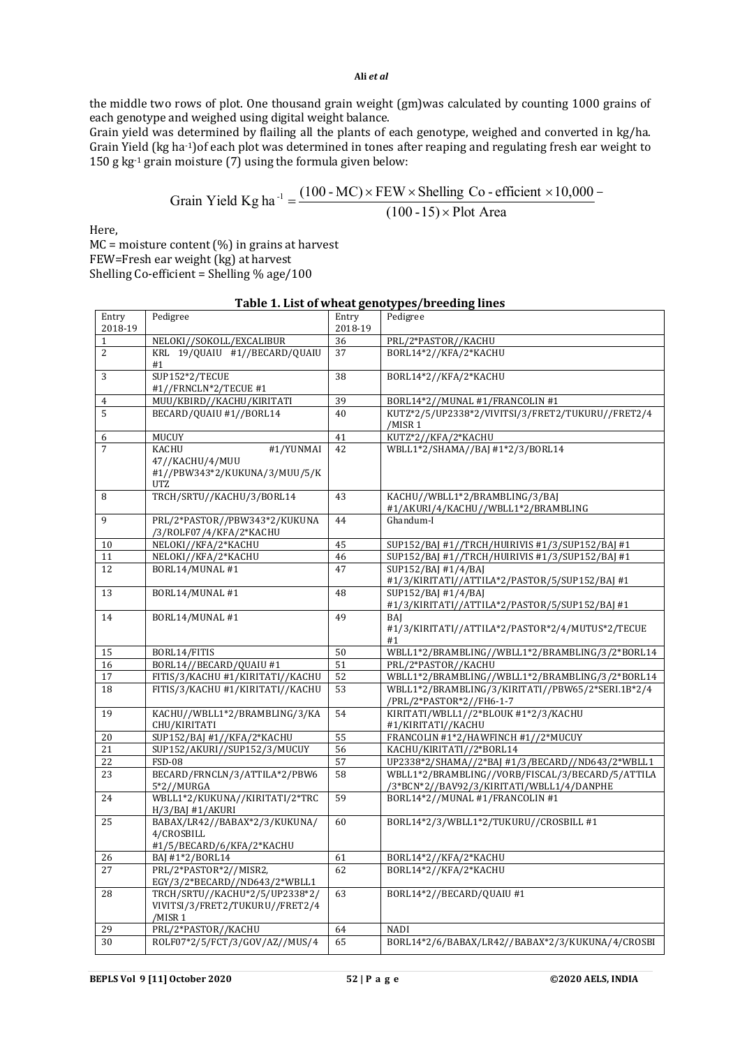the middle two rows of plot. One thousand grain weight (gm)was calculated by counting 1000 grains of each genotype and weighed using digital weight balance.

Grain yield was determined by flailing all the plants of each genotype, weighed and converted in kg/ha. Grain Yield (kg ha-1)of each plot was determined in tones after reaping and regulating fresh ear weight to 150 g kg $^{-1}$  grain moisture (7) using the formula given below:

$$
Grain Yield Kg ha^{-1} = \frac{(100 - MC) \times FEW \times Shelling Co - efficient \times 10,000 - (100 - 15) \times Plot Area}
$$

Here,

MC = moisture content (%) in grains at harvest FEW=Fresh ear weight (kg) at harvest Shelling Co-efficient = Shelling % age/100

| Entry          | Pedigree                                                       | Entry    | Pedigree                                                              |
|----------------|----------------------------------------------------------------|----------|-----------------------------------------------------------------------|
| 2018-19        |                                                                | 2018-19  |                                                                       |
| $\mathbf{1}$   | NELOKI//SOKOLL/EXCALIBUR                                       | 36       | PRL/2*PASTOR//KACHU                                                   |
| $\overline{c}$ | KRL 19/QUAIU #1//BECARD/QUAIU<br>#1                            | 37       | BORL14*2//KFA/2*KACHU                                                 |
| 3              | SUP152*2/TECUE<br>#1//FRNCLN*2/TECUE #1                        | 38       | BORL14*2//KFA/2*KACHU                                                 |
| 4              | MUU/KBIRD//KACHU/KIRITATI                                      | 39       | BORL14*2//MUNAL #1/FRANCOLIN #1                                       |
| 5              | BECARD/QUAIU #1//BORL14                                        | 40       | KUTZ*2/5/UP2338*2/VIVITSI/3/FRET2/TUKURU//FRET2/4                     |
|                |                                                                |          | /MISR 1                                                               |
| 6              | MUCUY                                                          | 41       | KUTZ*2//KFA/2*KACHU                                                   |
| $\overline{7}$ | #1/YUNMAI<br><b>KACHU</b>                                      | 42       | WBLL1*2/SHAMA//BAJ#1*2/3/BORL14                                       |
|                | 47//KACHU/4/MUU<br>#1//PBW343*2/KUKUNA/3/MUU/5/K<br><b>UTZ</b> |          |                                                                       |
| 8              | TRCH/SRTU//KACHU/3/BORL14                                      | 43       | KACHU//WBLL1*2/BRAMBLING/3/BAJ<br>#1/AKURI/4/KACHU//WBLL1*2/BRAMBLING |
| 9              | PRL/2*PASTOR//PBW343*2/KUKUNA                                  | 44       | Ghandum-I                                                             |
|                | /3/ROLF07/4/KFA/2*KACHU                                        |          |                                                                       |
| 10             | NELOKI//KFA/2*KACHU                                            | 45       | SUP152/BAJ #1//TRCH/HUIRIVIS #1/3/SUP152/BAJ #1                       |
| 11             | NELOKI//KFA/2*KACHU                                            | 46       | SUP152/BAJ #1//TRCH/HUIRIVIS #1/3/SUP152/BAJ #1                       |
| 12             | BORL14/MUNAL #1                                                | 47       | SUP152/BAJ #1/4/BAJ                                                   |
|                |                                                                |          | #1/3/KIRITATI//ATTILA*2/PASTOR/5/SUP152/BAJ #1                        |
| 13             | BORL14/MUNAL #1                                                | 48       | SUP152/BAJ #1/4/BAJ                                                   |
| 14             | BORL14/MUNAL #1                                                | 49       | #1/3/KIRITATI//ATTILA*2/PASTOR/5/SUP152/BAJ #1<br>BAI                 |
|                |                                                                |          | #1/3/KIRITATI//ATTILA*2/PASTOR*2/4/MUTUS*2/TECUE                      |
|                |                                                                |          | #1                                                                    |
| 15             | BORL14/FITIS                                                   | 50       | WBLL1*2/BRAMBLING//WBLL1*2/BRAMBLING/3/2*BORL14                       |
| 16             | BORL14//BECARD/QUAIU #1                                        | 51       | PRL/2*PASTOR//KACHU                                                   |
| 17             | FITIS/3/KACHU #1/KIRITATI//KACHU                               | 52       | WBLL1*2/BRAMBLING//WBLL1*2/BRAMBLING/3/2*BORL14                       |
| 18             | FITIS/3/KACHU #1/KIRITATI//KACHU                               | 53       | WBLL1*2/BRAMBLING/3/KIRITATI//PBW65/2*SERI.1B*2/4                     |
|                |                                                                |          | /PRL/2*PASTOR*2//FH6-1-7                                              |
| 19             | KACHU//WBLL1*2/BRAMBLING/3/KA                                  | 54       | KIRITATI/WBLL1//2*BLOUK #1*2/3/KACHU                                  |
|                | CHU/KIRITATI<br>SUP152/BAJ #1//KFA/2*KACHU                     |          | #1/KIRITATI//KACHU<br>FRANCOLIN #1*2/HAWFINCH #1//2*MUCUY             |
| 20<br>21       | SUP152/AKURI//SUP152/3/MUCUY                                   | 55<br>56 | KACHU/KIRITATI//2*BORL14                                              |
| 22             | <b>FSD-08</b>                                                  | 57       | UP2338*2/SHAMA//2*BAJ #1/3/BECARD//ND643/2*WBLL1                      |
| 23             | BECARD/FRNCLN/3/ATTILA*2/PBW6                                  | 58       | WBLL1*2/BRAMBLING//VORB/FISCAL/3/BECARD/5/ATTILA                      |
|                | 5*2//MURGA                                                     |          | /3*BCN*2//BAV92/3/KIRITATI/WBLL1/4/DANPHE                             |
| 24             | WBLL1*2/KUKUNA//KIRITATI/2*TRC                                 | 59       | BORL14*2//MUNAL #1/FRANCOLIN #1                                       |
| 25             | $H/3/BAI$ #1/AKURI<br>BABAX/LR42//BABAX*2/3/KUKUNA/            | 60       | BORL14*2/3/WBLL1*2/TUKURU//CROSBILL #1                                |
|                | 4/CROSBILL                                                     |          |                                                                       |
|                | #1/5/BECARD/6/KFA/2*KACHU                                      |          |                                                                       |
| 26             | BAJ #1*2/BORL14                                                | 61       | BORL14*2//KFA/2*KACHU                                                 |
| 27             | PRL/2*PASTOR*2//MISR2,                                         | 62       | BORL14*2//KFA/2*KACHU                                                 |
|                | EGY/3/2*BECARD//ND643/2*WBLL1                                  |          |                                                                       |
| 28             | TRCH/SRTU//KACHU*2/5/UP2338*2/                                 | 63       | BORL14*2//BECARD/QUAIU #1                                             |
|                | VIVITSI/3/FRET2/TUKURU//FRET2/4                                |          |                                                                       |
|                | /MISR 1                                                        |          |                                                                       |
| 29             | PRL/2*PASTOR//KACHU                                            | 64       | <b>NADI</b>                                                           |
| 30             | ROLF07*2/5/FCT/3/GOV/AZ//MUS/4                                 | 65       | BORL14*2/6/BABAX/LR42//BABAX*2/3/KUKUNA/4/CROSBI                      |

# **Table 1. List of wheat genotypes/breeding lines**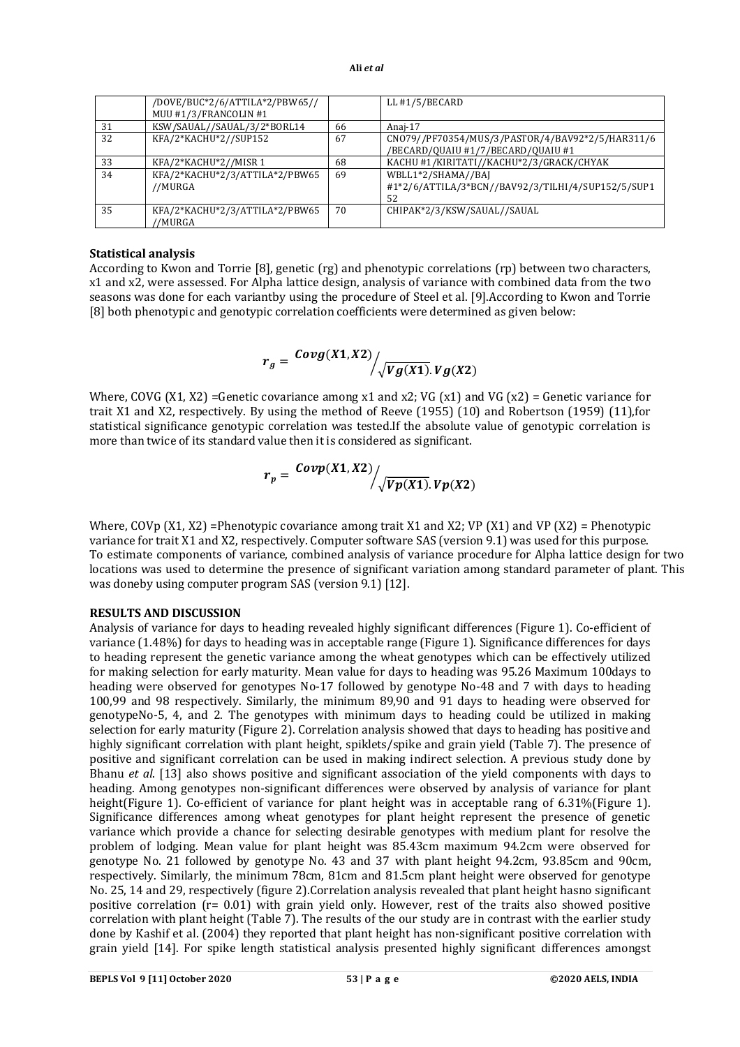|    | /DOVE/BUC*2/6/ATTILA*2/PBW65// |     | LL #1/5/BECARD                                     |
|----|--------------------------------|-----|----------------------------------------------------|
|    | MUU #1/3/FRANCOLIN #1          |     |                                                    |
| 31 | KSW/SAUAL//SAUAL/3/2*BORL14    | 66  | Anaj-17                                            |
| 32 | KFA/2*KACHU*2//SUP152          | 67  | CN079//PF70354/MUS/3/PASTOR/4/BAV92*2/5/HAR311/6   |
|    |                                |     | /BECARD/QUAIU #1/7/BECARD/QUAIU #1                 |
| 33 | KFA/2*KACHU*2//MISR 1          | 68  | KACHU #1/KIRITATI//KACHU*2/3/GRACK/CHYAK           |
| 34 | KFA/2*KACHU*2/3/ATTILA*2/PBW65 | -69 | WBLL1*2/SHAMA//BAJ                                 |
|    | //MURGA                        |     | #1*2/6/ATTILA/3*BCN//BAV92/3/TILHI/4/SUP152/5/SUP1 |
|    |                                |     | 52                                                 |
| 35 | KFA/2*KACHU*2/3/ATTILA*2/PBW65 | 70  | CHIPAK*2/3/KSW/SAUAL//SAUAL                        |
|    | '/MURGA                        |     |                                                    |

## **Statistical analysis**

According to Kwon and Torrie [8], genetic (rg) and phenotypic correlations (rp) between two characters, x1 and x2, were assessed. For Alpha lattice design, analysis of variance with combined data from the two seasons was done for each variantby using the procedure of Steel et al. [9].According to Kwon and Torrie [8] both phenotypic and genotypic correlation coefficients were determined as given below:

$$
r_g = \frac{Covg(X1, X2)}{\sqrt{Vg(X1)} \cdot Vg(X2)}
$$

Where, COVG (X1, X2) =Genetic covariance among x1 and x2; VG (x1) and VG (x2) = Genetic variance for trait X1 and X2, respectively. By using the method of Reeve (1955) (10) and Robertson (1959) (11),for statistical significance genotypic correlation was tested.If the absolute value of genotypic correlation is more than twice of its standard value then it is considered as significant.

$$
r_p = \frac{Covp(X1, X2)}{\sqrt{Vp(X1)}.\,Vp(X2)}
$$

Where, COVp (X1, X2) =Phenotypic covariance among trait X1 and X2; VP (X1) and VP (X2) = Phenotypic variance for trait X1 and X2, respectively. Computer software SAS (version 9.1) was used for this purpose. To estimate components of variance, combined analysis of variance procedure for Alpha lattice design for two locations was used to determine the presence of significant variation among standard parameter of plant. This was doneby using computer program SAS (version 9.1) [12].

# **RESULTS AND DISCUSSION**

Analysis of variance for days to heading revealed highly significant differences (Figure 1). Co-efficient of variance (1.48%) for days to heading was in acceptable range (Figure 1). Significance differences for days to heading represent the genetic variance among the wheat genotypes which can be effectively utilized for making selection for early maturity. Mean value for days to heading was 95.26 Maximum 100days to heading were observed for genotypes No-17 followed by genotype No-48 and 7 with days to heading 100,99 and 98 respectively. Similarly, the minimum 89,90 and 91 days to heading were observed for genotypeNo-5, 4, and 2. The genotypes with minimum days to heading could be utilized in making selection for early maturity (Figure 2). Correlation analysis showed that days to heading has positive and highly significant correlation with plant height, spiklets/spike and grain yield (Table 7). The presence of positive and significant correlation can be used in making indirect selection. A previous study done by Bhanu *et al*. [13] also shows positive and significant association of the yield components with days to heading. Among genotypes non-significant differences were observed by analysis of variance for plant height(Figure 1). Co-efficient of variance for plant height was in acceptable rang of 6.31%(Figure 1). Significance differences among wheat genotypes for plant height represent the presence of genetic variance which provide a chance for selecting desirable genotypes with medium plant for resolve the problem of lodging. Mean value for plant height was 85.43cm maximum 94.2cm were observed for genotype No. 21 followed by genotype No. 43 and 37 with plant height 94.2cm, 93.85cm and 90cm, respectively. Similarly, the minimum 78cm, 81cm and 81.5cm plant height were observed for genotype No. 25, 14 and 29, respectively (figure 2).Correlation analysis revealed that plant height hasno significant positive correlation (r= 0.01) with grain yield only. However, rest of the traits also showed positive correlation with plant height (Table 7). The results of the our study are in contrast with the earlier study done by Kashif et al. (2004) they reported that plant height has non-significant positive correlation with grain yield [14]. For spike length statistical analysis presented highly significant differences amongst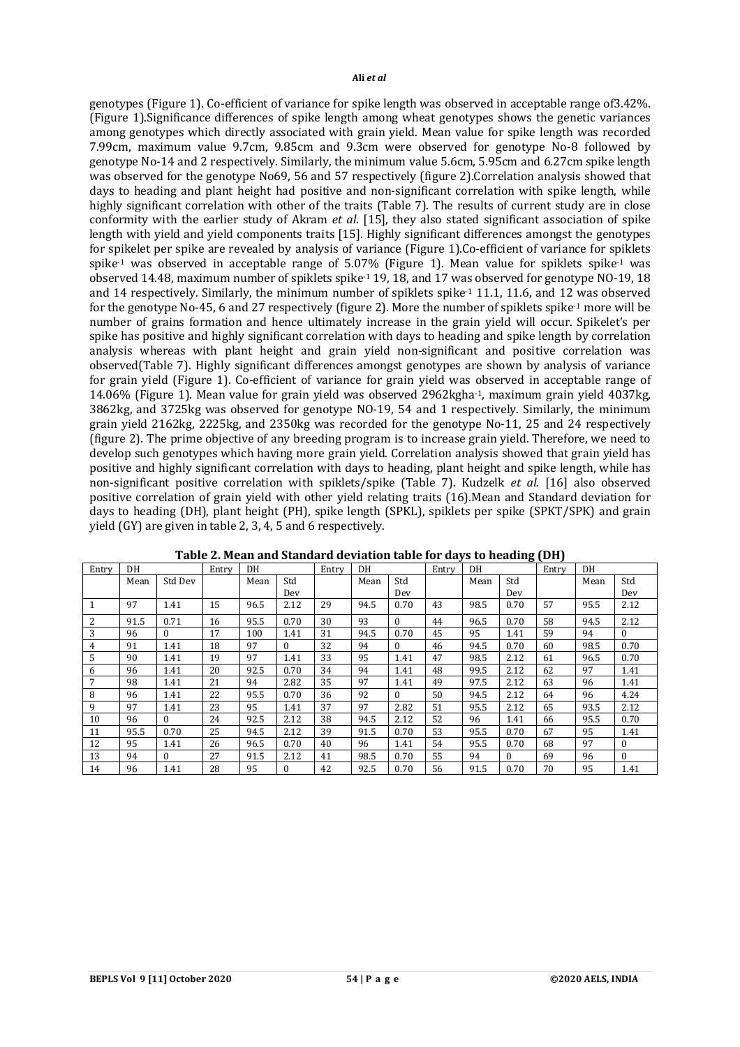genotypes (Figure 1). Co-efficient of variance for spike length was observed in acceptable range of3.42%. (Figure 1).Significance differences of spike length among wheat genotypes shows the genetic variances among genotypes which directly associated with grain yield. Mean value for spike length was recorded 7.99cm, maximum value 9.7cm, 9.85cm and 9.3cm were observed for genotype No-8 followed by genotype No-14 and 2 respectively. Similarly, the minimum value 5.6cm, 5.95cm and 6.27cm spike length was observed for the genotype No69, 56 and 57 respectively (figure 2).Correlation analysis showed that days to heading and plant height had positive and non-significant correlation with spike length, while highly significant correlation with other of the traits (Table 7). The results of current study are in close conformity with the earlier study of Akram *et al*. [15], they also stated significant association of spike length with yield and yield components traits [15]. Highly significant differences amongst the genotypes for spikelet per spike are revealed by analysis of variance (Figure 1).Co-efficient of variance for spiklets spike-1 was observed in acceptable range of 5.07% (Figure 1). Mean value for spiklets spike-1 was observed 14.48, maximum number of spiklets spike-1 19, 18, and 17 was observed for genotype NO-19, 18 and 14 respectively. Similarly, the minimum number of spiklets spike-1 11.1, 11.6, and 12 was observed for the genotype No-45, 6 and 27 respectively (figure 2). More the number of spiklets spike-1 more will be number of grains formation and hence ultimately increase in the grain yield will occur. Spikelet's per spike has positive and highly significant correlation with days to heading and spike length by correlation analysis whereas with plant height and grain yield non-significant and positive correlation was observed(Table 7). Highly significant differences amongst genotypes are shown by analysis of variance for grain yield (Figure 1). Co-efficient of variance for grain yield was observed in acceptable range of 14.06% (Figure 1). Mean value for grain yield was observed 2962kgha-1, maximum grain yield 4037kg, 3862kg, and 3725kg was observed for genotype NO-19, 54 and 1 respectively. Similarly, the minimum grain yield 2162kg, 2225kg, and 2350kg was recorded for the genotype No-11, 25 and 24 respectively (figure 2). The prime objective of any breeding program is to increase grain yield. Therefore, we need to develop such genotypes which having more grain yield. Correlation analysis showed that grain yield has positive and highly significant correlation with days to heading, plant height and spike length, while has non-significant positive correlation with spiklets/spike (Table 7). Kudzelk *et al.* [16] also observed positive correlation of grain yield with other yield relating traits (16).Mean and Standard deviation for days to heading (DH), plant height (PH), spike length (SPKL), spiklets per spike (SPKT/SPK) and grain yield (GY) are given in table 2, 3, 4, 5 and 6 respectively.

| Entry | DH   |          | Entry | DH   |          | Entry | DH   |          | Entry | DH   |          | Entry | DH   |              |
|-------|------|----------|-------|------|----------|-------|------|----------|-------|------|----------|-------|------|--------------|
|       | Mean | Std Dev  |       | Mean | Std      |       | Mean | Std      |       | Mean | Std      |       | Mean | Std          |
|       |      |          |       |      | Dev      |       |      | Dev      |       |      | Dev      |       |      | Dev          |
|       | 97   | 1.41     | 15    | 96.5 | 2.12     | 29    | 94.5 | 0.70     | 43    | 98.5 | 0.70     | 57    | 95.5 | 2.12         |
| 2     | 91.5 | 0.71     | 16    | 95.5 | 0.70     | 30    | 93   |          | 44    | 96.5 | 0.70     | 58    | 94.5 | 2.12         |
| 3     | 96   | $\Omega$ | 17    | 100  | 1.41     | 31    | 94.5 | 0.70     | 45    | 95   | 1.41     | 59    | 94   | $\theta$     |
| 4     | 91   | 1.41     | 18    | 97   | $\Omega$ | 32    | 94   | $\Omega$ | 46    | 94.5 | 0.70     | 60    | 98.5 | 0.70         |
| 5     | 90   | 1.41     | 19    | 97   | 1.41     | 33    | 95   | 1.41     | 47    | 98.5 | 2.12     | 61    | 96.5 | 0.70         |
| 6     | 96   | 1.41     | 20    | 92.5 | 0.70     | 34    | 94   | 1.41     | 48    | 99.5 | 2.12     | 62    | 97   | 1.41         |
| 7     | 98   | 1.41     | 21    | 94   | 2.82     | 35    | 97   | 1.41     | 49    | 97.5 | 2.12     | 63    | 96   | 1.41         |
| 8     | 96   | 1.41     | 22    | 95.5 | 0.70     | 36    | 92   | $\Omega$ | 50    | 94.5 | 2.12     | 64    | 96   | 4.24         |
| 9     | 97   | 1.41     | 23    | 95   | 1.41     | 37    | 97   | 2.82     | 51    | 95.5 | 2.12     | 65    | 93.5 | 2.12         |
| 10    | 96   | $\Omega$ | 24    | 92.5 | 2.12     | 38    | 94.5 | 2.12     | 52    | 96   | 1.41     | 66    | 95.5 | 0.70         |
| 11    | 95.5 | 0.70     | 25    | 94.5 | 2.12     | 39    | 91.5 | 0.70     | 53    | 95.5 | 0.70     | 67    | 95   | 1.41         |
| 12    | 95   | 1.41     | 26    | 96.5 | 0.70     | 40    | 96   | 1.41     | 54    | 95.5 | 0.70     | 68    | 97   | $\mathbf{0}$ |
| 13    | 94   | $\Omega$ | 27    | 91.5 | 2.12     | 41    | 98.5 | 0.70     | 55    | 94   | $\Omega$ | 69    | 96   | $\Omega$     |
| 14    | 96   | 1.41     | 28    | 95   | $\Omega$ | 42    | 92.5 | 0.70     | 56    | 91.5 | 0.70     | 70    | 95   | 1.41         |

**Table 2. Mean and Standard deviation table for days to heading (DH)**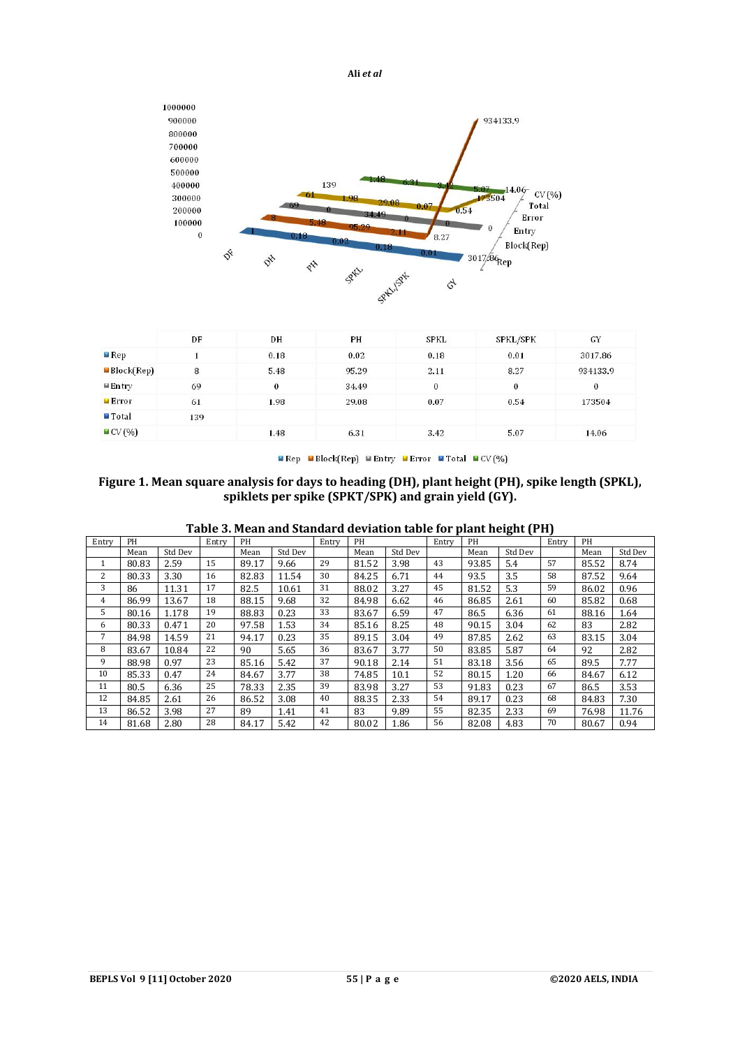



|                           | DF  | DH       | PH    | <b>SPKL</b> | SPKL/SPK | GY       |
|---------------------------|-----|----------|-------|-------------|----------|----------|
| $\n  Rep\n$               |     | 0.18     | 0.02  | 0.18        | 0.01     | 3017.86  |
| $\blacksquare$ Block(Rep) | 8   | 5.48     | 95.29 | 2.11        | 8.27     | 934133.9 |
| $\blacksquare$ Entry      | 69  | $\bf{0}$ | 34.49 | $\bf{0}$    | 0        | $\theta$ |
| Error                     | 61  | 1.98     | 29.08 | 0.07        | 0.54     | 173504   |
| $\blacksquare$ Total      | 139 |          |       |             |          |          |
| $\blacksquare$ CV $(\% )$ |     | 1.48     | 6.31  | 3.42        | 5.07     | 14.06    |

**■ Rep ■ Block(Rep) ■ Entry ■ Error ■ Total ■ CV(%)** 

# **Figure 1. Mean square analysis for days to heading (DH), plant height (PH), spike length (SPKL), spiklets per spike (SPKT/SPK) and grain yield (GY).**

| Table 3. Mean and Standard deviation table for plant height (PH) |  |  |
|------------------------------------------------------------------|--|--|
|                                                                  |  |  |

| Entry | PH    |         | Entry | PH    |         | Entry | PH    |         | Entry | PH    | ັ       | Entry | PH    |         |
|-------|-------|---------|-------|-------|---------|-------|-------|---------|-------|-------|---------|-------|-------|---------|
|       | Mean  | Std Dev |       | Mean  | Std Dev |       | Mean  | Std Dev |       | Mean  | Std Dev |       | Mean  | Std Dev |
| 1     | 80.83 | 2.59    | 15    | 89.17 | 9.66    | 29    | 81.52 | 3.98    | 43    | 93.85 | 5.4     | 57    | 85.52 | 8.74    |
| 2     | 80.33 | 3.30    | 16    | 82.83 | 11.54   | 30    | 84.25 | 6.71    | 44    | 93.5  | 3.5     | 58    | 87.52 | 9.64    |
| 3     | 86    | 11.31   | 17    | 82.5  | 10.61   | 31    | 88.02 | 3.27    | 45    | 81.52 | 5.3     | 59    | 86.02 | 0.96    |
| 4     | 86.99 | 13.67   | 18    | 88.15 | 9.68    | 32    | 84.98 | 6.62    | 46    | 86.85 | 2.61    | 60    | 85.82 | 0.68    |
| 5     | 80.16 | 1.178   | 19    | 88.83 | 0.23    | 33    | 83.67 | 6.59    | 47    | 86.5  | 6.36    | 61    | 88.16 | 1.64    |
| 6     | 80.33 | 0.471   | 20    | 97.58 | 1.53    | 34    | 85.16 | 8.25    | 48    | 90.15 | 3.04    | 62    | 83    | 2.82    |
| 7     | 84.98 | 14.59   | 21    | 94.17 | 0.23    | 35    | 89.15 | 3.04    | 49    | 87.85 | 2.62    | 63    | 83.15 | 3.04    |
| 8     | 83.67 | 10.84   | 22    | 90    | 5.65    | 36    | 83.67 | 3.77    | 50    | 83.85 | 5.87    | 64    | 92    | 2.82    |
| 9     | 88.98 | 0.97    | 23    | 85.16 | 5.42    | 37    | 90.18 | 2.14    | 51    | 83.18 | 3.56    | 65    | 89.5  | 7.77    |
| 10    | 85.33 | 0.47    | 24    | 84.67 | 3.77    | 38    | 74.85 | 10.1    | 52    | 80.15 | 1.20    | 66    | 84.67 | 6.12    |
| 11    | 80.5  | 6.36    | 25    | 78.33 | 2.35    | 39    | 83.98 | 3.27    | 53    | 91.83 | 0.23    | 67    | 86.5  | 3.53    |
| 12    | 84.85 | 2.61    | 26    | 86.52 | 3.08    | 40    | 88.35 | 2.33    | 54    | 89.17 | 0.23    | 68    | 84.83 | 7.30    |
| 13    | 86.52 | 3.98    | 27    | 89    | 1.41    | 41    | 83    | 9.89    | 55    | 82.35 | 2.33    | 69    | 76.98 | 11.76   |
| 14    | 81.68 | 2.80    | 28    | 84.17 | 5.42    | 42    | 80.02 | 1.86    | 56    | 82.08 | 4.83    | 70    | 80.67 | 0.94    |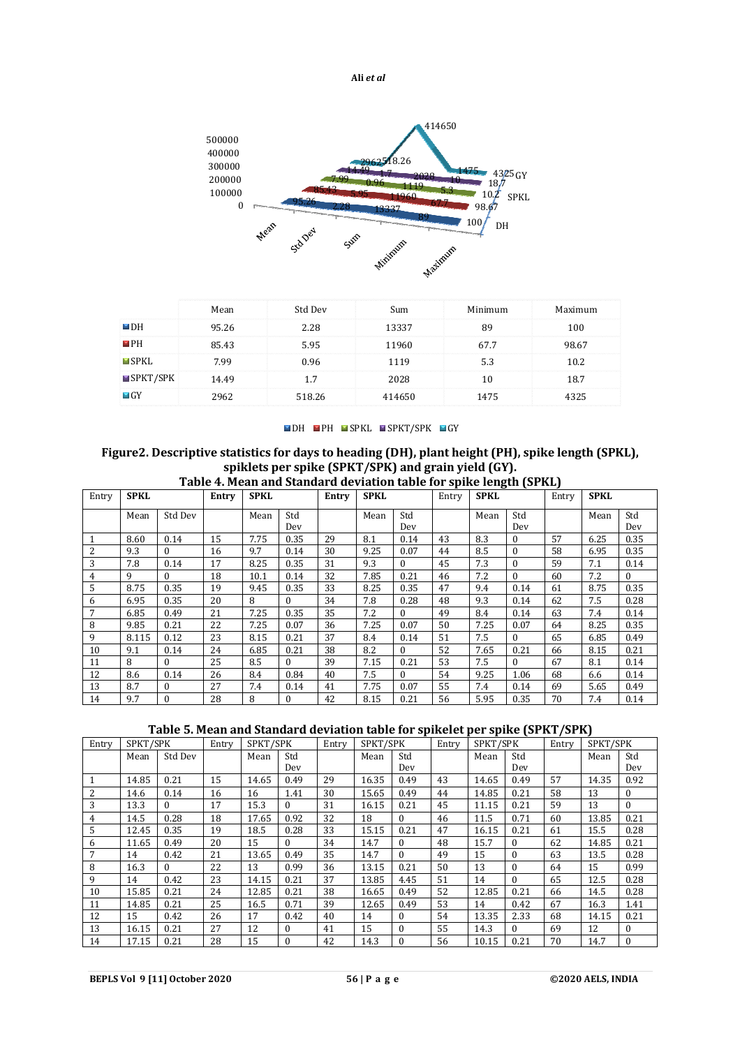

|                         | Mean  | Std Dev | Sum    | Minimum | Maximum |
|-------------------------|-------|---------|--------|---------|---------|
| $\blacksquare$ DH       | 95.26 | 2.28    | 13337  | 89      | 100     |
| $\blacksquare$ PH       | 85.43 | 5.95    | 11960  | 67.7    | 98.67   |
| $\blacksquare$ SPKL     | 7.99  | 0.96    | 1119   | 5.3     | 10.2    |
| $\blacksquare$ SPKT/SPK | 14.49 | 1.7     | 2028   | 10      | 18.7    |
| $\blacksquare$ GY       | 2962  | 518.26  | 414650 | 1475    | 4325    |

■DH ■PH ■SPKL ■SPKT/SPK ■GY

# **Figure2. Descriptive statistics for days to heading (DH), plant height (PH), spike length (SPKL), spiklets per spike (SPKT/SPK) and grain yield (GY).**

|       | Table 4. Mean and Standard deviation table for spike length (SPKL) |              |       |             |             |       |             |             |    |             |                     |       |             |             |
|-------|--------------------------------------------------------------------|--------------|-------|-------------|-------------|-------|-------------|-------------|----|-------------|---------------------|-------|-------------|-------------|
| Entry | <b>SPKL</b>                                                        |              | Entry | <b>SPKL</b> |             | Entry | <b>SPKL</b> |             |    | <b>SPKL</b> |                     | Entry | <b>SPKL</b> |             |
|       | Mean                                                               | Std Dev      |       | Mean        | Std         |       | Mean        | Std         |    | Mean        | Std                 |       | Mean        | Std         |
|       | 8.60                                                               | 0.14         | 15    | 7.75        | Dev<br>0.35 | 29    | 8.1         | Dev<br>0.14 | 43 | 8.3         | Dev<br>$\mathbf{0}$ | 57    | 6.25        | Dev<br>0.35 |
| 2     | 9.3                                                                | $\Omega$     | 16    | 9.7         | 0.14        | 30    | 9.25        | 0.07        | 44 | 8.5         | $\mathbf{0}$        | 58    | 6.95        | 0.35        |
| 3     | 7.8                                                                | 0.14         | 17    | 8.25        | 0.35        | 31    | 9.3         | $\Omega$    | 45 | 7.3         | $\mathbf{0}$        | 59    | 7.1         | 0.14        |
| 4     | 9                                                                  | $\Omega$     | 18    | 10.1        | 0.14        | 32    | 7.85        | 0.21        | 46 | 7.2         | $\Omega$            | 60    | 7.2         | $\theta$    |
| 5     | 8.75                                                               | 0.35         | 19    | 9.45        | 0.35        | 33    | 8.25        | 0.35        | 47 | 9.4         | 0.14                | 61    | 8.75        | 0.35        |
| 6     | 6.95                                                               | 0.35         | 20    | 8           | $\Omega$    | 34    | 7.8         | 0.28        | 48 | 9.3         | 0.14                | 62    | 7.5         | 0.28        |
| 7     | 6.85                                                               | 0.49         | 21    | 7.25        | 0.35        | 35    | 7.2         | $\Omega$    | 49 | 8.4         | 0.14                | 63    | 7.4         | 0.14        |
| 8     | 9.85                                                               | 0.21         | 22    | 7.25        | 0.07        | 36    | 7.25        | 0.07        | 50 | 7.25        | 0.07                | 64    | 8.25        | 0.35        |
| 9     | 8.115                                                              | 0.12         | 23    | 8.15        | 0.21        | 37    | 8.4         | 0.14        | 51 | 7.5         | $\Omega$            | 65    | 6.85        | 0.49        |
| 10    | 9.1                                                                | 0.14         | 24    | 6.85        | 0.21        | 38    | 8.2         | $\Omega$    | 52 | 7.65        | 0.21                | 66    | 8.15        | 0.21        |
| 11    | 8                                                                  | $\Omega$     | 25    | 8.5         | $\theta$    | 39    | 7.15        | 0.21        | 53 | 7.5         | $\Omega$            | 67    | 8.1         | 0.14        |
| 12    | 8.6                                                                | 0.14         | 26    | 8.4         | 0.84        | 40    | 7.5         | $\Omega$    | 54 | 9.25        | 1.06                | 68    | 6.6         | 0.14        |
| 13    | 8.7                                                                | $\mathbf{0}$ | 27    | 7.4         | 0.14        | 41    | 7.75        | 0.07        | 55 | 7.4         | 0.14                | 69    | 5.65        | 0.49        |
| 14    | 9.7                                                                | $\theta$     | 28    | 8           | 0           | 42    | 8.15        | 0.21        | 56 | 5.95        | 0.35                | 70    | 7.4         | 0.14        |

# **Table 5. Mean and Standard deviation table for spikelet per spike (SPKT/SPK)**

| Entry | SPKT/SPK |         | Entry | SPKT/SPK |          | Entry | SPKT/SPK |          | Entry | SPKT/SPK |          | Entry | SPKT/SPK |          |
|-------|----------|---------|-------|----------|----------|-------|----------|----------|-------|----------|----------|-------|----------|----------|
|       | Mean     | Std Dev |       | Mean     | Std      |       | Mean     | Std      |       | Mean     | Std      |       | Mean     | Std      |
|       |          |         |       |          | Dev      |       |          | Dev      |       |          | Dev      |       |          | Dev      |
| 1     | 14.85    | 0.21    | 15    | 14.65    | 0.49     | 29    | 16.35    | 0.49     | 43    | 14.65    | 0.49     | 57    | 14.35    | 0.92     |
| 2     | 14.6     | 0.14    | 16    | 16       | 1.41     | 30    | 15.65    | 0.49     | 44    | 14.85    | 0.21     | 58    | 13       | $\theta$ |
| 3     | 13.3     | 0       | 17    | 15.3     | $\Omega$ | 31    | 16.15    | 0.21     | 45    | 11.15    | 0.21     | 59    | 13       | $\Omega$ |
| 4     | 14.5     | 0.28    | 18    | 17.65    | 0.92     | 32    | 18       | $\Omega$ | 46    | 11.5     | 0.71     | 60    | 13.85    | 0.21     |
| 5     | 12.45    | 0.35    | 19    | 18.5     | 0.28     | 33    | 15.15    | 0.21     | 47    | 16.15    | 0.21     | 61    | 15.5     | 0.28     |
| 6     | 11.65    | 0.49    | 20    | 15       | $\Omega$ | 34    | 14.7     | $\Omega$ | 48    | 15.7     | $\Omega$ | 62    | 14.85    | 0.21     |
|       | 14       | 0.42    | 21    | 13.65    | 0.49     | 35    | 14.7     | $\Omega$ | 49    | 15       | $\theta$ | 63    | 13.5     | 0.28     |
| 8     | 16.3     | 0       | 22    | 13       | 0.99     | 36    | 13.15    | 0.21     | 50    | 13       | $\theta$ | 64    | 15       | 0.99     |
| 9     | 14       | 0.42    | 23    | 14.15    | 0.21     | 37    | 13.85    | 4.45     | 51    | 14       | $\theta$ | 65    | 12.5     | 0.28     |
| 10    | 15.85    | 0.21    | 24    | 12.85    | 0.21     | 38    | 16.65    | 0.49     | 52    | 12.85    | 0.21     | 66    | 14.5     | 0.28     |
| 11    | 14.85    | 0.21    | 25    | 16.5     | 0.71     | 39    | 12.65    | 0.49     | 53    | 14       | 0.42     | 67    | 16.3     | 1.41     |
| 12    | 15       | 0.42    | 26    | 17       | 0.42     | 40    | 14       | $\Omega$ | 54    | 13.35    | 2.33     | 68    | 14.15    | 0.21     |
| 13    | 16.15    | 0.21    | 27    | 12       | $\theta$ | 41    | 15       | $\Omega$ | 55    | 14.3     | $\theta$ | 69    | 12       | $\Omega$ |
| 14    | 17.15    | 0.21    | 28    | 15       | $\theta$ | 42    | 14.3     | $\Omega$ | 56    | 10.15    | 0.21     | 70    | 14.7     | $\Omega$ |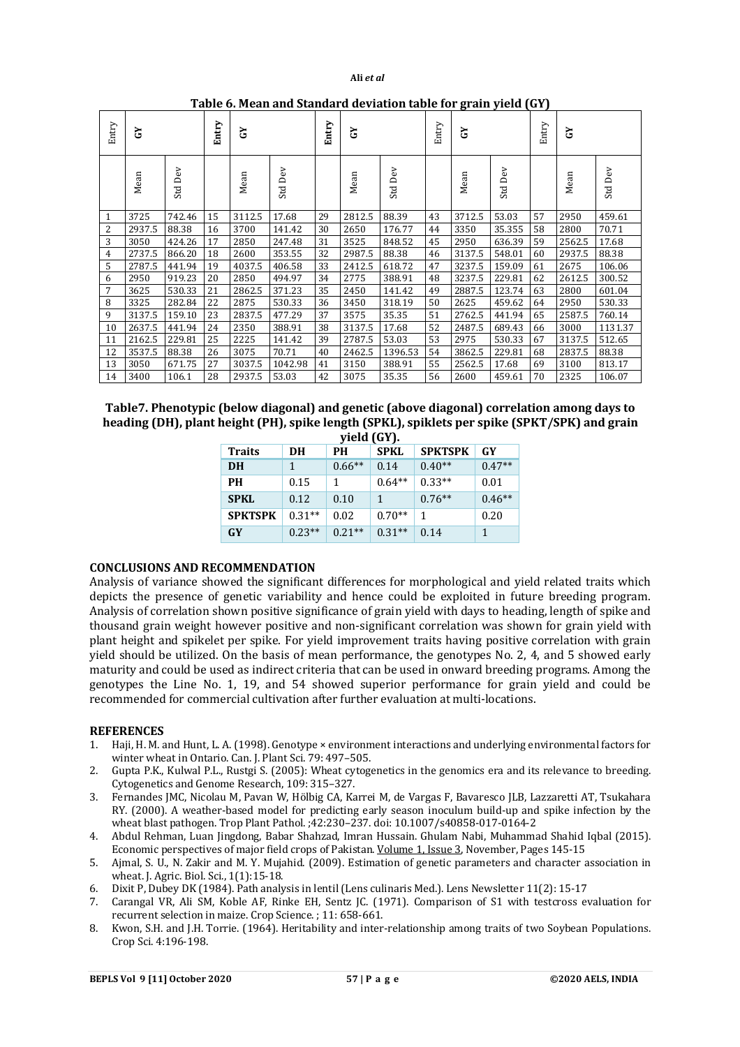| Entry          | 75     |            | Entry | 7      |            | Entry | উ      |            | Entry | 79     |         | Entry | 5      |         |
|----------------|--------|------------|-------|--------|------------|-------|--------|------------|-------|--------|---------|-------|--------|---------|
|                | Mean   | Dev<br>Std |       | Mean   | Dev<br>Std |       | Mean   | Dev<br>Std |       | Mean   | Std Dev |       | Mean   | Std Dev |
| 1              | 3725   | 742.46     | 15    | 3112.5 | 17.68      | 29    | 2812.5 | 88.39      | 43    | 3712.5 | 53.03   | 57    | 2950   | 459.61  |
| $\overline{2}$ | 2937.5 | 88.38      | 16    | 3700   | 141.42     | 30    | 2650   | 176.77     | 44    | 3350   | 35.355  | 58    | 2800   | 70.71   |
| 3              | 3050   | 424.26     | 17    | 2850   | 247.48     | 31    | 3525   | 848.52     | 45    | 2950   | 636.39  | 59    | 2562.5 | 17.68   |
| 4              | 2737.5 | 866.20     | 18    | 2600   | 353.55     | 32    | 2987.5 | 88.38      | 46    | 3137.5 | 548.01  | 60    | 2937.5 | 88.38   |
| 5              | 2787.5 | 441.94     | 19    | 4037.5 | 406.58     | 33    | 2412.5 | 618.72     | 47    | 3237.5 | 159.09  | 61    | 2675   | 106.06  |
| 6              | 2950   | 919.23     | 20    | 2850   | 494.97     | 34    | 2775   | 388.91     | 48    | 3237.5 | 229.81  | 62    | 2612.5 | 300.52  |
| 7              | 3625   | 530.33     | 21    | 2862.5 | 371.23     | 35    | 2450   | 141.42     | 49    | 2887.5 | 123.74  | 63    | 2800   | 601.04  |
| 8              | 3325   | 282.84     | 22    | 2875   | 530.33     | 36    | 3450   | 318.19     | 50    | 2625   | 459.62  | 64    | 2950   | 530.33  |
| 9              | 3137.5 | 159.10     | 23    | 2837.5 | 477.29     | 37    | 3575   | 35.35      | 51    | 2762.5 | 441.94  | 65    | 2587.5 | 760.14  |
| 10             | 2637.5 | 441.94     | 24    | 2350   | 388.91     | 38    | 3137.5 | 17.68      | 52    | 2487.5 | 689.43  | 66    | 3000   | 1131.37 |
| 11             | 2162.5 | 229.81     | 25    | 2225   | 141.42     | 39    | 2787.5 | 53.03      | 53    | 2975   | 530.33  | 67    | 3137.5 | 512.65  |
| 12             | 3537.5 | 88.38      | 26    | 3075   | 70.71      | 40    | 2462.5 | 1396.53    | 54    | 3862.5 | 229.81  | 68    | 2837.5 | 88.38   |
| 13             | 3050   | 671.75     | 27    | 3037.5 | 1042.98    | 41    | 3150   | 388.91     | 55    | 2562.5 | 17.68   | 69    | 3100   | 813.17  |
| 14             | 3400   | 106.1      | 28    | 2937.5 | 53.03      | 42    | 3075   | 35.35      | 56    | 2600   | 459.61  | 70    | 2325   | 106.07  |

**Table 6. Mean and Standard deviation table for grain yield (GY)**

| Table 7. Phenotypic (below diagonal) and genetic (above diagonal) correlation among days to   |
|-----------------------------------------------------------------------------------------------|
| heading (DH), plant height (PH), spike length (SPKL), spiklets per spike (SPKT/SPK) and grain |
| $-1.11$ (CV)                                                                                  |

|                | $y$ iciu (u i j. |          |             |                |          |  |  |  |  |  |  |  |  |
|----------------|------------------|----------|-------------|----------------|----------|--|--|--|--|--|--|--|--|
| <b>Traits</b>  | <b>DH</b>        | PН       | <b>SPKL</b> | <b>SPKTSPK</b> | GY       |  |  |  |  |  |  |  |  |
| <b>DH</b>      | $\mathbf{1}$     | $0.66**$ | 0.14        | $0.40**$       | $0.47**$ |  |  |  |  |  |  |  |  |
| PН             | 0.15             | 1        | $0.64**$    | $0.33**$       | 0.01     |  |  |  |  |  |  |  |  |
| <b>SPKL</b>    | 0.12             | 0.10     | 1           | $0.76**$       | $0.46**$ |  |  |  |  |  |  |  |  |
| <b>SPKTSPK</b> | $0.31**$         | 0.02     | $0.70**$    |                | 0.20     |  |  |  |  |  |  |  |  |
| <b>GY</b>      | $0.23**$         | $0.21**$ | $0.31**$    | 0.14           |          |  |  |  |  |  |  |  |  |

# **CONCLUSIONS AND RECOMMENDATION**

Analysis of variance showed the significant differences for morphological and yield related traits which depicts the presence of genetic variability and hence could be exploited in future breeding program. Analysis of correlation shown positive significance of grain yield with days to heading, length of spike and thousand grain weight however positive and non-significant correlation was shown for grain yield with plant height and spikelet per spike. For yield improvement traits having positive correlation with grain yield should be utilized. On the basis of mean performance, the genotypes No. 2, 4, and 5 showed early maturity and could be used as indirect criteria that can be used in onward breeding programs. Among the genotypes the Line No. 1, 19, and 54 showed superior performance for grain yield and could be recommended for commercial cultivation after further evaluation at multi-locations.

#### **REFERENCES**

- 1. Haji, H. M. and Hunt, L. A. (1998). Genotype × environment interactions and underlying environmental factors for winter wheat in Ontario. Can. J. Plant Sci. 79: 497–505.
- 2. Gupta P.K., Kulwal P.L., Rustgi S. (2005): Wheat cytogenetics in the genomics era and its relevance to breeding. Cytogenetics and Genome Research, 109: 315–327.
- 3. Fernandes JMC, Nicolau M, Pavan W, Hölbig CA, Karrei M, de Vargas F, Bavaresco JLB, Lazzaretti AT, Tsukahara RY. (2000). A weather-based model for predicting early season inoculum build-up and spike infection by the wheat blast pathogen. Trop Plant Pathol. ;42:230–237. doi: 10.1007/s40858-017-0164-2
- 4. Abdul Rehman, Luan Jingdong, Babar Shahzad, Imran Hussain. Ghulam Nabi, Muhammad Shahid Iqbal (2015). Economic perspectives of major field crops of Pakistan. Volume 1, Issue 3, November, Pages 145-15
- 5. Ajmal, S. U., N. Zakir and M. Y. Mujahid. (2009). Estimation of genetic parameters and character association in wheat. J. Agric. Biol. Sci., 1(1):15-18.
- 6. Dixit P, Dubey DK (1984). Path analysis in lentil (Lens culinaris Med.). Lens Newsletter 11(2): 15-17
- 7. Carangal VR, Ali SM, Koble AF, Rinke EH, Sentz JC. (1971). Comparison of S1 with testcross evaluation for recurrent selection in maize. Crop Science. ; 11: 658-661.
- 8. Kwon, S.H. and J.H. Torrie. (1964). Heritability and inter-relationship among traits of two Soybean Populations. Crop Sci. 4:196-198.